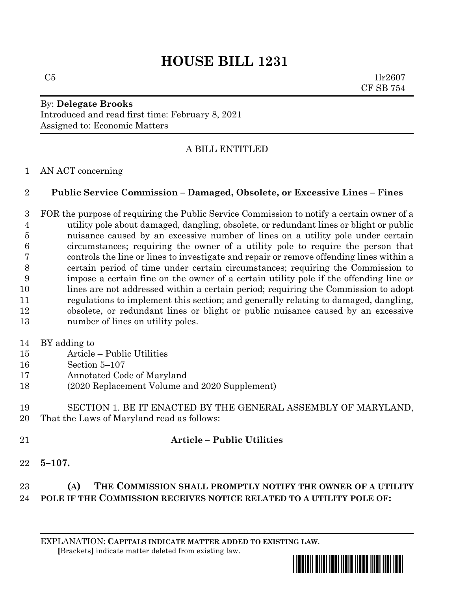# **HOUSE BILL 1231**

 $C5$  1lr2607 CF SB 754

## By: **Delegate Brooks** Introduced and read first time: February 8, 2021 Assigned to: Economic Matters

# A BILL ENTITLED

#### AN ACT concerning

#### **Public Service Commission – Damaged, Obsolete, or Excessive Lines – Fines**

- FOR the purpose of requiring the Public Service Commission to notify a certain owner of a utility pole about damaged, dangling, obsolete, or redundant lines or blight or public nuisance caused by an excessive number of lines on a utility pole under certain circumstances; requiring the owner of a utility pole to require the person that controls the line or lines to investigate and repair or remove offending lines within a certain period of time under certain circumstances; requiring the Commission to impose a certain fine on the owner of a certain utility pole if the offending line or lines are not addressed within a certain period; requiring the Commission to adopt regulations to implement this section; and generally relating to damaged, dangling, obsolete, or redundant lines or blight or public nuisance caused by an excessive 13 number of lines on utility poles.
- BY adding to
- Article Public Utilities
- Section 5–107
- Annotated Code of Maryland
- (2020 Replacement Volume and 2020 Supplement)

#### SECTION 1. BE IT ENACTED BY THE GENERAL ASSEMBLY OF MARYLAND, That the Laws of Maryland read as follows:

## **Article – Public Utilities**

**5–107.**

# **(A) THE COMMISSION SHALL PROMPTLY NOTIFY THE OWNER OF A UTILITY POLE IF THE COMMISSION RECEIVES NOTICE RELATED TO A UTILITY POLE OF:**